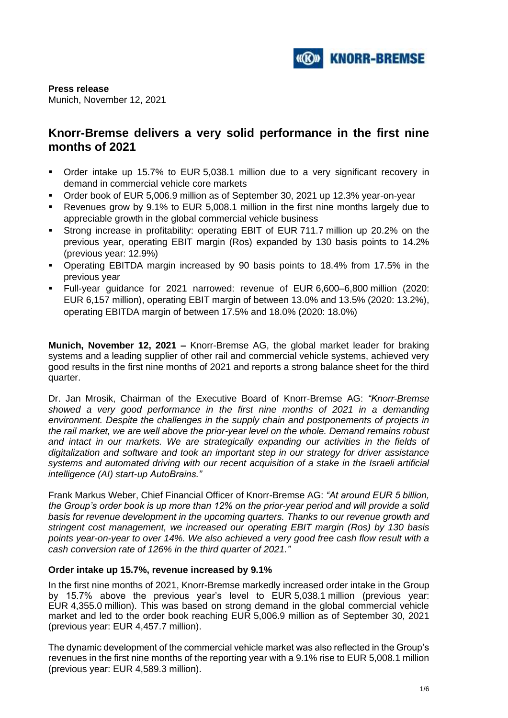

**Press release** Munich, November 12, 2021

# **Knorr-Bremse delivers a very solid performance in the first nine months of 2021**

- Order intake up 15.7% to EUR 5,038.1 million due to a very significant recovery in demand in commercial vehicle core markets
- Order book of EUR 5,006.9 million as of September 30, 2021 up 12.3% year-on-year
- Revenues grow by 9.1% to EUR 5,008.1 million in the first nine months largely due to appreciable growth in the global commercial vehicle business
- Strong increase in profitability: operating EBIT of EUR 711.7 million up 20.2% on the previous year, operating EBIT margin (Ros) expanded by 130 basis points to 14.2% (previous year: 12.9%)
- Operating EBITDA margin increased by 90 basis points to 18.4% from 17.5% in the previous year
- Full-year guidance for 2021 narrowed: revenue of EUR 6,600–6,800 million (2020: EUR 6,157 million), operating EBIT margin of between 13.0% and 13.5% (2020: 13.2%), operating EBITDA margin of between 17.5% and 18.0% (2020: 18.0%)

**Munich, November 12, 2021 –** Knorr-Bremse AG, the global market leader for braking systems and a leading supplier of other rail and commercial vehicle systems, achieved very good results in the first nine months of 2021 and reports a strong balance sheet for the third quarter.

Dr. Jan Mrosik, Chairman of the Executive Board of Knorr-Bremse AG: *"Knorr-Bremse showed a very good performance in the first nine months of 2021 in a demanding environment. Despite the challenges in the supply chain and postponements of projects in the rail market, we are well above the prior-year level on the whole. Demand remains robust and intact in our markets. We are strategically expanding our activities in the fields of digitalization and software and took an important step in our strategy for driver assistance systems and automated driving with our recent acquisition of a stake in the Israeli artificial intelligence (AI) start-up AutoBrains."*

Frank Markus Weber, Chief Financial Officer of Knorr-Bremse AG: *"At around EUR 5 billion, the Group's order book is up more than 12% on the prior-year period and will provide a solid basis for revenue development in the upcoming quarters. Thanks to our revenue growth and stringent cost management, we increased our operating EBIT margin (Ros) by 130 basis points year-on-year to over 14%. We also achieved a very good free cash flow result with a cash conversion rate of 126% in the third quarter of 2021."*

## **Order intake up 15.7%, revenue increased by 9.1%**

In the first nine months of 2021, Knorr-Bremse markedly increased order intake in the Group by 15.7% above the previous year's level to EUR 5,038.1 million (previous year: EUR 4,355.0 million). This was based on strong demand in the global commercial vehicle market and led to the order book reaching EUR 5,006.9 million as of September 30, 2021 (previous year: EUR 4,457.7 million).

The dynamic development of the commercial vehicle market was also reflected in the Group's revenues in the first nine months of the reporting year with a 9.1% rise to EUR 5,008.1 million (previous year: EUR 4,589.3 million).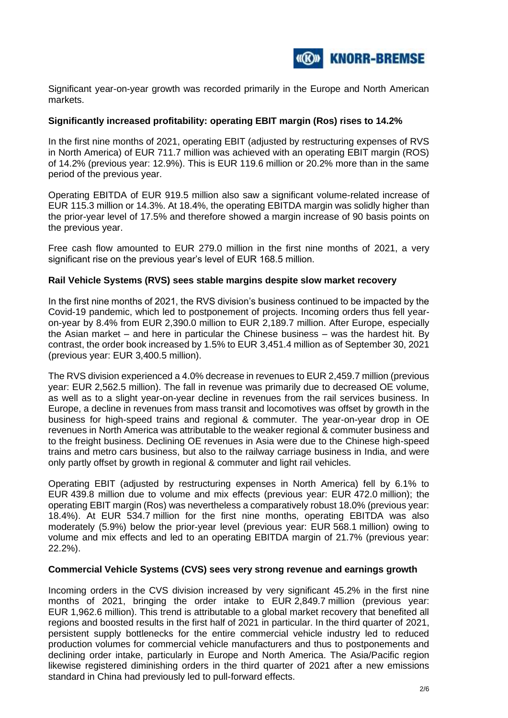

Significant year-on-year growth was recorded primarily in the Europe and North American markets.

## **Significantly increased profitability: operating EBIT margin (Ros) rises to 14.2%**

In the first nine months of 2021, operating EBIT (adjusted by restructuring expenses of RVS in North America) of EUR 711.7 million was achieved with an operating EBIT margin (ROS) of 14.2% (previous year: 12.9%). This is EUR 119.6 million or 20.2% more than in the same period of the previous year.

Operating EBITDA of EUR 919.5 million also saw a significant volume-related increase of EUR 115.3 million or 14.3%. At 18.4%, the operating EBITDA margin was solidly higher than the prior-year level of 17.5% and therefore showed a margin increase of 90 basis points on the previous year.

Free cash flow amounted to EUR 279.0 million in the first nine months of 2021, a very significant rise on the previous year's level of EUR 168.5 million.

## **Rail Vehicle Systems (RVS) sees stable margins despite slow market recovery**

In the first nine months of 2021, the RVS division's business continued to be impacted by the Covid-19 pandemic, which led to postponement of projects. Incoming orders thus fell yearon-year by 8.4% from EUR 2,390.0 million to EUR 2,189.7 million. After Europe, especially the Asian market – and here in particular the Chinese business – was the hardest hit. By contrast, the order book increased by 1.5% to EUR 3,451.4 million as of September 30, 2021 (previous year: EUR 3,400.5 million).

The RVS division experienced a 4.0% decrease in revenues to EUR 2,459.7 million (previous year: EUR 2,562.5 million). The fall in revenue was primarily due to decreased OE volume, as well as to a slight year-on-year decline in revenues from the rail services business. In Europe, a decline in revenues from mass transit and locomotives was offset by growth in the business for high-speed trains and regional & commuter. The year-on-year drop in OE revenues in North America was attributable to the weaker regional & commuter business and to the freight business. Declining OE revenues in Asia were due to the Chinese high-speed trains and metro cars business, but also to the railway carriage business in India, and were only partly offset by growth in regional & commuter and light rail vehicles.

Operating EBIT (adjusted by restructuring expenses in North America) fell by 6.1% to EUR 439.8 million due to volume and mix effects (previous year: EUR 472.0 million); the operating EBIT margin (Ros) was nevertheless a comparatively robust 18.0% (previous year: 18.4%). At EUR 534.7 million for the first nine months, operating EBITDA was also moderately (5.9%) below the prior-year level (previous year: EUR 568.1 million) owing to volume and mix effects and led to an operating EBITDA margin of 21.7% (previous year: 22.2%).

## **Commercial Vehicle Systems (CVS) sees very strong revenue and earnings growth**

Incoming orders in the CVS division increased by very significant 45.2% in the first nine months of 2021, bringing the order intake to EUR 2,849.7 million (previous year: EUR 1,962.6 million). This trend is attributable to a global market recovery that benefited all regions and boosted results in the first half of 2021 in particular. In the third quarter of 2021, persistent supply bottlenecks for the entire commercial vehicle industry led to reduced production volumes for commercial vehicle manufacturers and thus to postponements and declining order intake, particularly in Europe and North America. The Asia/Pacific region likewise registered diminishing orders in the third quarter of 2021 after a new emissions standard in China had previously led to pull-forward effects.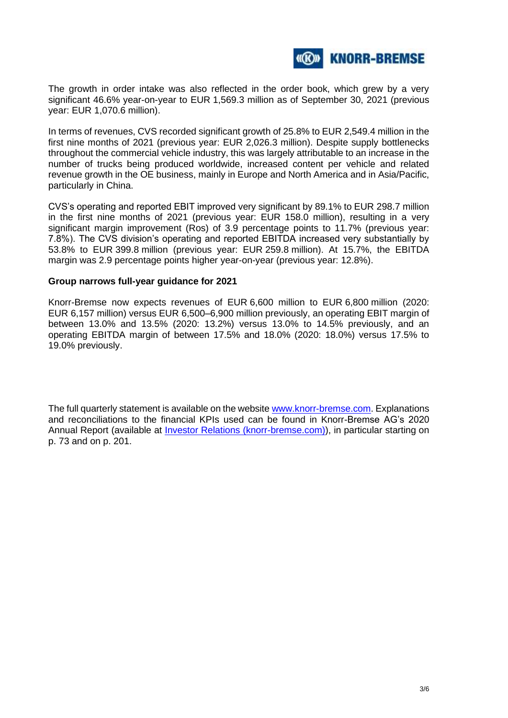

The growth in order intake was also reflected in the order book, which grew by a very significant 46.6% year-on-year to EUR 1,569.3 million as of September 30, 2021 (previous year: EUR 1,070.6 million).

In terms of revenues, CVS recorded significant growth of 25.8% to EUR 2,549.4 million in the first nine months of 2021 (previous year: EUR 2,026.3 million). Despite supply bottlenecks throughout the commercial vehicle industry, this was largely attributable to an increase in the number of trucks being produced worldwide, increased content per vehicle and related revenue growth in the OE business, mainly in Europe and North America and in Asia/Pacific, particularly in China.

CVS's operating and reported EBIT improved very significant by 89.1% to EUR 298.7 million in the first nine months of 2021 (previous year: EUR 158.0 million), resulting in a very significant margin improvement (Ros) of 3.9 percentage points to 11.7% (previous year: 7.8%). The CVS division's operating and reported EBITDA increased very substantially by 53.8% to EUR 399.8 million (previous year: EUR 259.8 million). At 15.7%, the EBITDA margin was 2.9 percentage points higher year-on-year (previous year: 12.8%).

### **Group narrows full-year guidance for 2021**

Knorr-Bremse now expects revenues of EUR 6,600 million to EUR 6,800 million (2020: EUR 6,157 million) versus EUR 6,500–6,900 million previously, an operating EBIT margin of between 13.0% and 13.5% (2020: 13.2%) versus 13.0% to 14.5% previously, and an operating EBITDA margin of between 17.5% and 18.0% (2020: 18.0%) versus 17.5% to 19.0% previously.

The full quarterly statement is available on the websit[e www.knorr-bremse.com.](http://www.knorr-bremse.com/) Explanations and reconciliations to the financial KPIs used can be found in Knorr-Bremse AG's 2020 Annual Report (available at [Investor Relations \(knorr-bremse.com\)\)](https://ir.knorr-bremse.com/websites/Knorrbremse_ir/German/0/investor-relations.html), in particular starting on p. 73 and on p. 201.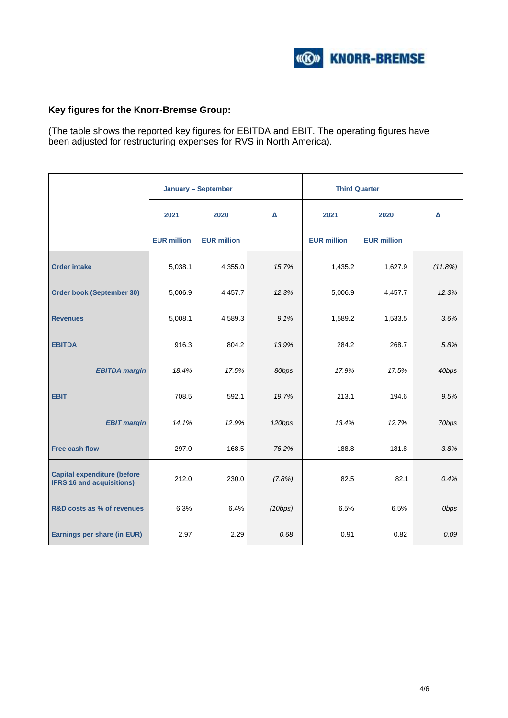

## **Key figures for the Knorr-Bremse Group:**

(The table shows the reported key figures for EBITDA and EBIT. The operating figures have been adjusted for restructuring expenses for RVS in North America).

|                                                                        | <b>January - September</b> |                    |         | <b>Third Quarter</b> |                    |             |
|------------------------------------------------------------------------|----------------------------|--------------------|---------|----------------------|--------------------|-------------|
|                                                                        | 2021                       | 2020               | Δ       | 2021                 | 2020               | Δ           |
|                                                                        | <b>EUR million</b>         | <b>EUR million</b> |         | <b>EUR million</b>   | <b>EUR million</b> |             |
| <b>Order intake</b>                                                    | 5,038.1                    | 4,355.0            | 15.7%   | 1,435.2              | 1,627.9            | (11.8%)     |
| <b>Order book (September 30)</b>                                       | 5,006.9                    | 4,457.7            | 12.3%   | 5,006.9              | 4,457.7            | 12.3%       |
| <b>Revenues</b>                                                        | 5,008.1                    | 4,589.3            | 9.1%    | 1,589.2              | 1,533.5            | 3.6%        |
| <b>EBITDA</b>                                                          | 916.3                      | 804.2              | 13.9%   | 284.2                | 268.7              | 5.8%        |
| <b>EBITDA</b> margin                                                   | 18.4%                      | 17.5%              | 80bps   | 17.9%                | 17.5%              | 40bps       |
| <b>EBIT</b>                                                            | 708.5                      | 592.1              | 19.7%   | 213.1                | 194.6              | 9.5%        |
| <b>EBIT margin</b>                                                     | 14.1%                      | 12.9%              | 120bps  | 13.4%                | 12.7%              | 70bps       |
| <b>Free cash flow</b>                                                  | 297.0                      | 168.5              | 76.2%   | 188.8                | 181.8              | 3.8%        |
| <b>Capital expenditure (before</b><br><b>IFRS 16 and acquisitions)</b> | 212.0                      | 230.0              | (7.8%)  | 82.5                 | 82.1               | 0.4%        |
| R&D costs as % of revenues                                             | 6.3%                       | 6.4%               | (10bps) | 6.5%                 | 6.5%               | <b>Obps</b> |
| Earnings per share (in EUR)                                            | 2.97                       | 2.29               | 0.68    | 0.91                 | 0.82               | 0.09        |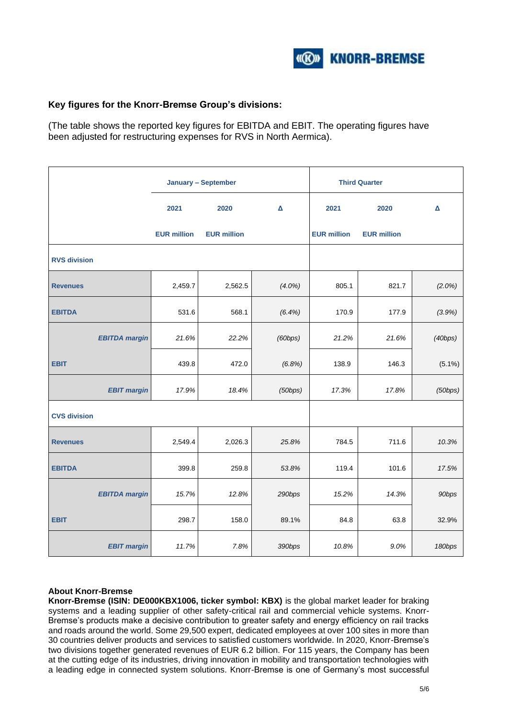

## **Key figures for the Knorr-Bremse Group's divisions:**

(The table shows the reported key figures for EBITDA and EBIT. The operating figures have been adjusted for restructuring expenses for RVS in North Aermica).

|                      |                    | <b>January - September</b> |                | <b>Third Quarter</b> |                    |           |
|----------------------|--------------------|----------------------------|----------------|----------------------|--------------------|-----------|
|                      | 2021               | 2020                       | $\pmb{\Delta}$ | 2021                 | 2020               | Δ         |
|                      | <b>EUR million</b> | <b>EUR million</b>         |                | <b>EUR million</b>   | <b>EUR million</b> |           |
| <b>RVS division</b>  |                    |                            |                |                      |                    |           |
| <b>Revenues</b>      | 2,459.7            | 2,562.5                    | $(4.0\%)$      | 805.1                | 821.7              | $(2.0\%)$ |
| <b>EBITDA</b>        | 531.6              | 568.1                      | (6.4%)         | 170.9                | 177.9              | (3.9%)    |
| <b>EBITDA</b> margin | 21.6%              | 22.2%                      | (60bps)        | 21.2%                | 21.6%              | (40bps)   |
| <b>EBIT</b>          | 439.8              | 472.0                      | (6.8%)         | 138.9                | 146.3              | $(5.1\%)$ |
| <b>EBIT margin</b>   | 17.9%              | 18.4%                      | (50bps)        | 17.3%                | 17.8%              | (50bps)   |
| <b>CVS division</b>  |                    |                            |                |                      |                    |           |
| <b>Revenues</b>      | 2,549.4            | 2,026.3                    | 25.8%          | 784.5                | 711.6              | 10.3%     |
| <b>EBITDA</b>        | 399.8              | 259.8                      | 53.8%          | 119.4                | 101.6              | 17.5%     |
| <b>EBITDA</b> margin | 15.7%              | 12.8%                      | 290bps         | 15.2%                | 14.3%              | 90bps     |
| <b>EBIT</b>          | 298.7              | 158.0                      | 89.1%          | 84.8                 | 63.8               | 32.9%     |
| <b>EBIT margin</b>   | 11.7%              | 7.8%                       | 390bps         | 10.8%                | 9.0%               | 180bps    |

## **About Knorr-Bremse**

**Knorr-Bremse (ISIN: DE000KBX1006, ticker symbol: KBX)** is the global market leader for braking systems and a leading supplier of other safety-critical rail and commercial vehicle systems. Knorr-Bremse's products make a decisive contribution to greater safety and energy efficiency on rail tracks and roads around the world. Some 29,500 expert, dedicated employees at over 100 sites in more than 30 countries deliver products and services to satisfied customers worldwide. In 2020, Knorr-Bremse's two divisions together generated revenues of EUR 6.2 billion. For 115 years, the Company has been at the cutting edge of its industries, driving innovation in mobility and transportation technologies with a leading edge in connected system solutions. Knorr-Bremse is one of Germany's most successful